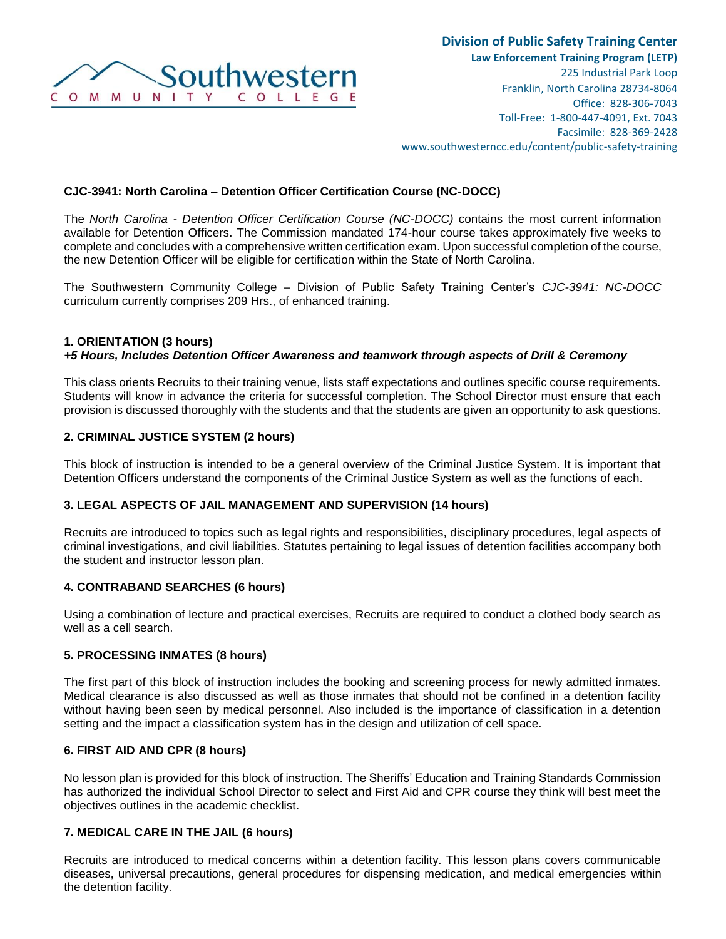

## **CJC-3941: North Carolina – Detention Officer Certification Course (NC-DOCC)**

The *North Carolina - Detention Officer Certification Course (NC-DOCC)* contains the most current information available for Detention Officers. The Commission mandated 174-hour course takes approximately five weeks to complete and concludes with a comprehensive written certification exam. Upon successful completion of the course, the new Detention Officer will be eligible for certification within the State of North Carolina.

The Southwestern Community College – Division of Public Safety Training Center's *CJC-3941: NC-DOCC* curriculum currently comprises 209 Hrs., of enhanced training.

#### **1. ORIENTATION (3 hours)**  *+5 Hours, Includes Detention Officer Awareness and teamwork through aspects of Drill & Ceremony*

This class orients Recruits to their training venue, lists staff expectations and outlines specific course requirements. Students will know in advance the criteria for successful completion. The School Director must ensure that each provision is discussed thoroughly with the students and that the students are given an opportunity to ask questions.

## **2. CRIMINAL JUSTICE SYSTEM (2 hours)**

This block of instruction is intended to be a general overview of the Criminal Justice System. It is important that Detention Officers understand the components of the Criminal Justice System as well as the functions of each.

## **3. LEGAL ASPECTS OF JAIL MANAGEMENT AND SUPERVISION (14 hours)**

Recruits are introduced to topics such as legal rights and responsibilities, disciplinary procedures, legal aspects of criminal investigations, and civil liabilities. Statutes pertaining to legal issues of detention facilities accompany both the student and instructor lesson plan.

#### **4. CONTRABAND SEARCHES (6 hours)**

Using a combination of lecture and practical exercises, Recruits are required to conduct a clothed body search as well as a cell search.

#### **5. PROCESSING INMATES (8 hours)**

The first part of this block of instruction includes the booking and screening process for newly admitted inmates. Medical clearance is also discussed as well as those inmates that should not be confined in a detention facility without having been seen by medical personnel. Also included is the importance of classification in a detention setting and the impact a classification system has in the design and utilization of cell space.

#### **6. FIRST AID AND CPR (8 hours)**

No lesson plan is provided for this block of instruction. The Sheriffs' Education and Training Standards Commission has authorized the individual School Director to select and First Aid and CPR course they think will best meet the objectives outlines in the academic checklist.

## **7. MEDICAL CARE IN THE JAIL (6 hours)**

Recruits are introduced to medical concerns within a detention facility. This lesson plans covers communicable diseases, universal precautions, general procedures for dispensing medication, and medical emergencies within the detention facility.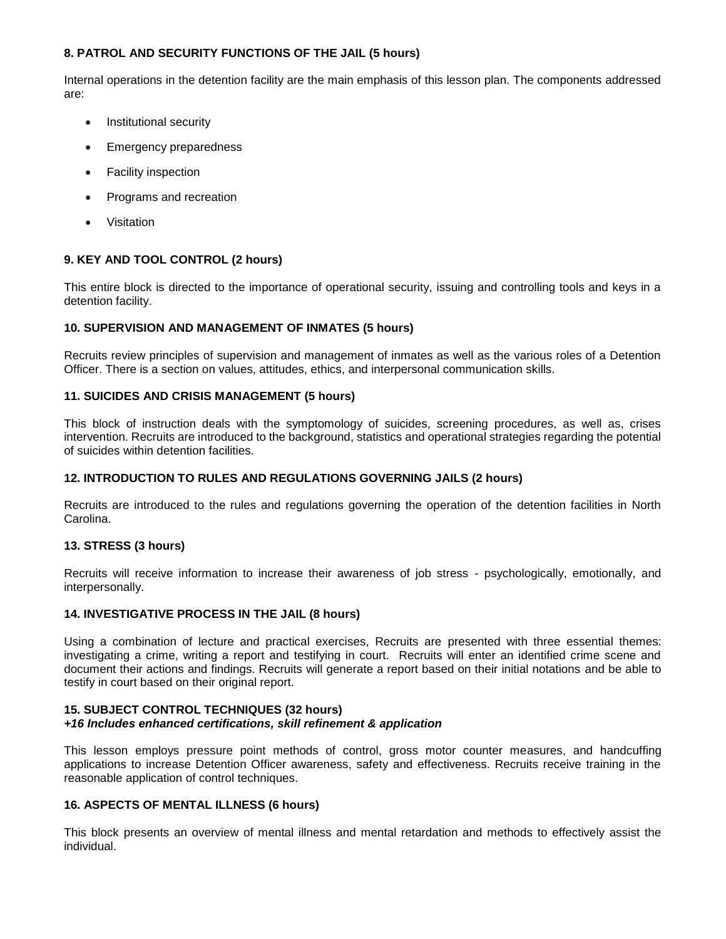# **8. PATROL AND SECURITY FUNCTIONS OF THE JAIL (5 hours)**

Internal operations in the detention facility are the main emphasis of this lesson plan. The components addressed are:

- Institutional security
- Emergency preparedness
- Facility inspection
- Programs and recreation
- Visitation

## **9. KEY AND TOOL CONTROL (2 hours)**

This entire block is directed to the importance of operational security, issuing and controlling tools and keys in a detention facility.

## **10. SUPERVISION AND MANAGEMENT OF INMATES (5 hours)**

Recruits review principles of supervision and management of inmates as well as the various roles of a Detention Officer. There is a section on values, attitudes, ethics, and interpersonal communication skills.

## **11. SUICIDES AND CRISIS MANAGEMENT (5 hours)**

This block of instruction deals with the symptomology of suicides, screening procedures, as well as, crises intervention. Recruits are introduced to the background, statistics and operational strategies regarding the potential of suicides within detention facilities.

## **12. INTRODUCTION TO RULES AND REGULATIONS GOVERNING JAILS (2 hours)**

Recruits are introduced to the rules and regulations governing the operation of the detention facilities in North Carolina.

## **13. STRESS (3 hours)**

Recruits will receive information to increase their awareness of job stress - psychologically, emotionally, and interpersonally.

## **14. INVESTIGATIVE PROCESS IN THE JAIL (8 hours)**

Using a combination of lecture and practical exercises, Recruits are presented with three essential themes: investigating a crime, writing a report and testifying in court. Recruits will enter an identified crime scene and document their actions and findings. Recruits will generate a report based on their initial notations and be able to testify in court based on their original report.

#### **15. SUBJECT CONTROL TECHNIQUES (32 hours)**  *+16 Includes enhanced certifications, skill refinement & application*

This lesson employs pressure point methods of control, gross motor counter measures, and handcuffing applications to increase Detention Officer awareness, safety and effectiveness. Recruits receive training in the reasonable application of control techniques.

## **16. ASPECTS OF MENTAL ILLNESS (6 hours)**

This block presents an overview of mental illness and mental retardation and methods to effectively assist the individual.